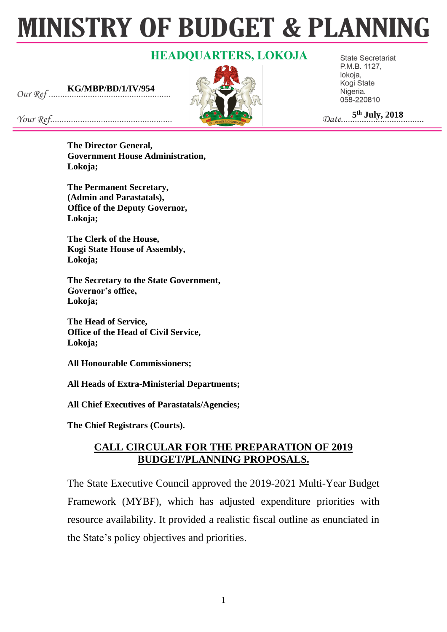# **MINISTRY OF BUDGET & PLANNING**

# **HEADQUARTERS, LOKOJA**

**KG/MBP/BD/1/IV/954**



**State Secretariat** P.M.B. 1127, lokoja, Kogi State Nigeria. 058-220810

 **5 th July, 2018**

**The Director General, Government House Administration, Lokoja;**

**The Permanent Secretary, (Admin and Parastatals), Office of the Deputy Governor, Lokoja;**

**The Clerk of the House, Kogi State House of Assembly, Lokoja;**

**The Secretary to the State Government, Governor's office, Lokoja;**

**The Head of Service, Office of the Head of Civil Service, Lokoja;**

**All Honourable Commissioners;**

**All Heads of Extra-Ministerial Departments;**

**All Chief Executives of Parastatals/Agencies;**

**The Chief Registrars (Courts).**

# **CALL CIRCULAR FOR THE PREPARATION OF 2019 BUDGET/PLANNING PROPOSALS.**

The State Executive Council approved the 2019-2021 Multi-Year Budget Framework (MYBF), which has adjusted expenditure priorities with resource availability. It provided a realistic fiscal outline as enunciated in the State's policy objectives and priorities.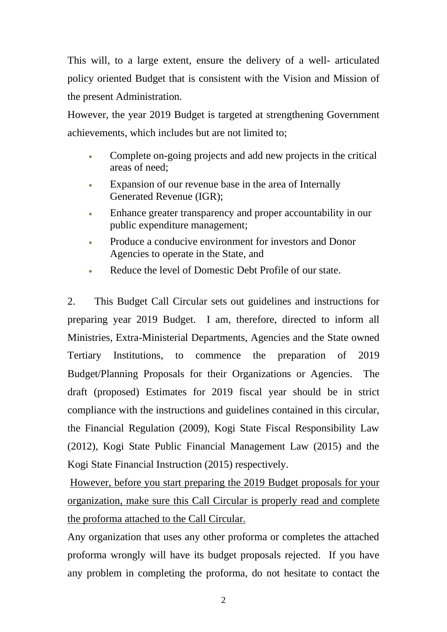This will, to a large extent, ensure the delivery of a well- articulated policy oriented Budget that is consistent with the Vision and Mission of the present Administration.

However, the year 2019 Budget is targeted at strengthening Government achievements, which includes but are not limited to;

- Complete on-going projects and add new projects in the critical areas of need;
- Expansion of our revenue base in the area of Internally Generated Revenue (IGR);
- Enhance greater transparency and proper accountability in our public expenditure management;
- Produce a conducive environment for investors and Donor Agencies to operate in the State, and
- Reduce the level of Domestic Debt Profile of our state.

2. This Budget Call Circular sets out guidelines and instructions for preparing year 2019 Budget. I am, therefore, directed to inform all Ministries, Extra-Ministerial Departments, Agencies and the State owned Tertiary Institutions, to commence the preparation of 2019 Budget/Planning Proposals for their Organizations or Agencies. The draft (proposed) Estimates for 2019 fiscal year should be in strict compliance with the instructions and guidelines contained in this circular, the Financial Regulation (2009), Kogi State Fiscal Responsibility Law (2012), Kogi State Public Financial Management Law (2015) and the Kogi State Financial Instruction (2015) respectively.

However, before you start preparing the 2019 Budget proposals for your organization, make sure this Call Circular is properly read and complete the proforma attached to the Call Circular.

Any organization that uses any other proforma or completes the attached proforma wrongly will have its budget proposals rejected. If you have any problem in completing the proforma, do not hesitate to contact the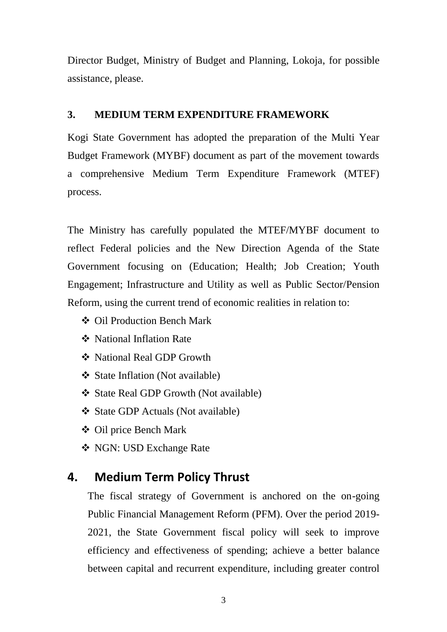Director Budget, Ministry of Budget and Planning, Lokoja, for possible assistance, please.

## **3. MEDIUM TERM EXPENDITURE FRAMEWORK**

Kogi State Government has adopted the preparation of the Multi Year Budget Framework (MYBF) document as part of the movement towards a comprehensive Medium Term Expenditure Framework (MTEF) process.

The Ministry has carefully populated the MTEF/MYBF document to reflect Federal policies and the New Direction Agenda of the State Government focusing on (Education; Health; Job Creation; Youth Engagement; Infrastructure and Utility as well as Public Sector/Pension Reform, using the current trend of economic realities in relation to:

- ❖ Oil Production Bench Mark
- ❖ National Inflation Rate
- ❖ National Real GDP Growth
- ❖ State Inflation (Not available)
- ❖ State Real GDP Growth (Not available)
- ❖ State GDP Actuals (Not available)
- ❖ Oil price Bench Mark
- ❖ NGN: USD Exchange Rate

# **4. Medium Term Policy Thrust**

The fiscal strategy of Government is anchored on the on-going Public Financial Management Reform (PFM). Over the period 2019- 2021, the State Government fiscal policy will seek to improve efficiency and effectiveness of spending; achieve a better balance between capital and recurrent expenditure, including greater control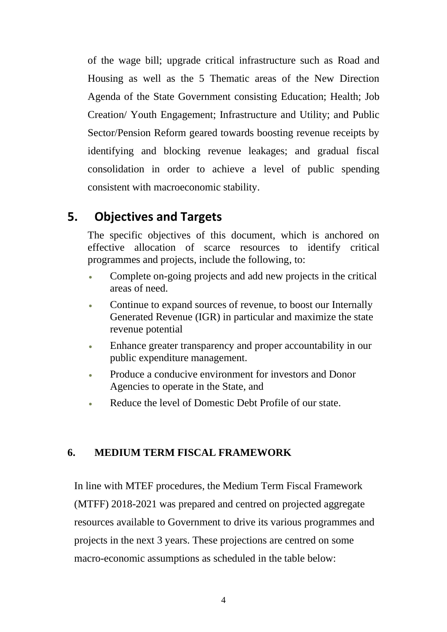of the wage bill; upgrade critical infrastructure such as Road and Housing as well as the 5 Thematic areas of the New Direction Agenda of the State Government consisting Education; Health; Job Creation/ Youth Engagement; Infrastructure and Utility; and Public Sector/Pension Reform geared towards boosting revenue receipts by identifying and blocking revenue leakages; and gradual fiscal consolidation in order to achieve a level of public spending consistent with macroeconomic stability.

# **5. Objectives and Targets**

The specific objectives of this document, which is anchored on effective allocation of scarce resources to identify critical programmes and projects, include the following, to:

- Complete on-going projects and add new projects in the critical areas of need.
- Continue to expand sources of revenue, to boost our Internally Generated Revenue (IGR) in particular and maximize the state revenue potential
- Enhance greater transparency and proper accountability in our public expenditure management.
- Produce a conducive environment for investors and Donor Agencies to operate in the State, and
- Reduce the level of Domestic Debt Profile of our state.

# **6. MEDIUM TERM FISCAL FRAMEWORK**

 In line with MTEF procedures, the Medium Term Fiscal Framework (MTFF) 2018-2021 was prepared and centred on projected aggregate resources available to Government to drive its various programmes and projects in the next 3 years. These projections are centred on some macro-economic assumptions as scheduled in the table below: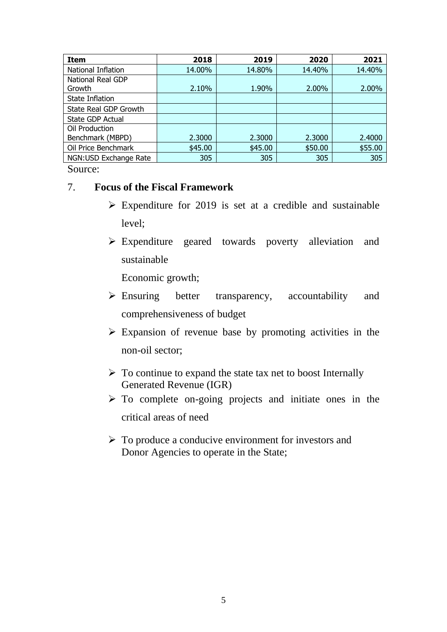| <b>Item</b>              | 2018    | 2019    | 2020    | 2021    |
|--------------------------|---------|---------|---------|---------|
| National Inflation       | 14.00%  | 14.80%  | 14.40%  | 14.40%  |
| <b>National Real GDP</b> |         |         |         |         |
| Growth                   | 2.10%   | 1.90%   | 2.00%   | 2.00%   |
| State Inflation          |         |         |         |         |
| State Real GDP Growth    |         |         |         |         |
| State GDP Actual         |         |         |         |         |
| Oil Production           |         |         |         |         |
| Benchmark (MBPD)         | 2.3000  | 2.3000  | 2.3000  | 2.4000  |
| Oil Price Benchmark      | \$45.00 | \$45.00 | \$50.00 | \$55.00 |
| NGN:USD Exchange Rate    | 305     | 305     | 305     | 305     |

Source:

## 7. **Focus of the Fiscal Framework**

- $\triangleright$  Expenditure for 2019 is set at a credible and sustainable level;
- ➢ Expenditure geared towards poverty alleviation and sustainable

Economic growth;

- ➢ Ensuring better transparency, accountability and comprehensiveness of budget
- ➢ Expansion of revenue base by promoting activities in the non-oil sector;
- $\triangleright$  To continue to expand the state tax net to boost Internally Generated Revenue (IGR)
- ➢ To complete on-going projects and initiate ones in the critical areas of need
- ➢ To produce a conducive environment for investors and Donor Agencies to operate in the State;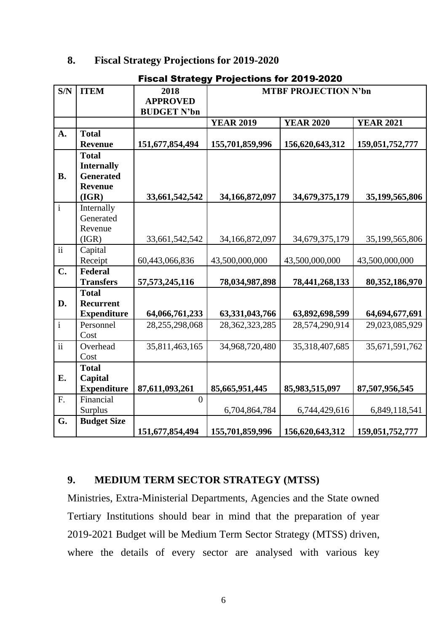## **8. Fiscal Strategy Projections for 2019-2020**

| S/N                      | <b>ITEM</b>                     | 2018               | <u>i ivjevuvi</u><br>IJ IVI EV IV A<br><b>MTBF PROJECTION N'bn</b> |                  |                  |  |  |
|--------------------------|---------------------------------|--------------------|--------------------------------------------------------------------|------------------|------------------|--|--|
|                          |                                 | <b>APPROVED</b>    |                                                                    |                  |                  |  |  |
|                          |                                 | <b>BUDGET N'bn</b> |                                                                    |                  |                  |  |  |
|                          |                                 |                    | <b>YEAR 2019</b>                                                   | <b>YEAR 2020</b> | <b>YEAR 2021</b> |  |  |
| A.                       | <b>Total</b>                    |                    |                                                                    |                  |                  |  |  |
|                          | <b>Revenue</b>                  | 151,677,854,494    | 155,701,859,996                                                    | 156,620,643,312  | 159,051,752,777  |  |  |
|                          | <b>Total</b>                    |                    |                                                                    |                  |                  |  |  |
|                          | <b>Internally</b>               |                    |                                                                    |                  |                  |  |  |
| <b>B.</b>                | <b>Generated</b>                |                    |                                                                    |                  |                  |  |  |
|                          | <b>Revenue</b>                  |                    |                                                                    |                  |                  |  |  |
|                          | (IGR)                           | 33,661,542,542     | 34,166,872,097                                                     | 34,679,375,179   | 35,199,565,806   |  |  |
| $\mathbf{i}$             | Internally                      |                    |                                                                    |                  |                  |  |  |
|                          | Generated                       |                    |                                                                    |                  |                  |  |  |
|                          | Revenue                         |                    |                                                                    |                  |                  |  |  |
|                          | (IGR)                           | 33,661,542,542     | 34,166,872,097                                                     | 34,679,375,179   | 35,199,565,806   |  |  |
| $\ddot{\rm ii}$          | Capital                         |                    |                                                                    |                  |                  |  |  |
|                          | Receipt                         | 60,443,066,836     | 43,500,000,000                                                     | 43,500,000,000   | 43,500,000,000   |  |  |
| $C_{\bullet}$            | Federal                         |                    |                                                                    |                  |                  |  |  |
|                          | <b>Transfers</b>                | 57, 573, 245, 116  | 78,034,987,898                                                     | 78,441,268,133   | 80,352,186,970   |  |  |
|                          | <b>Total</b>                    |                    |                                                                    |                  |                  |  |  |
| D.                       | <b>Recurrent</b>                |                    |                                                                    |                  |                  |  |  |
| $\mathbf{i}$             | <b>Expenditure</b><br>Personnel | 64,066,761,233     | 63,331,043,766<br>28,362,323,285                                   | 63,892,698,599   | 64,694,677,691   |  |  |
|                          | Cost                            | 28,255,298,068     |                                                                    | 28,574,290,914   | 29,023,085,929   |  |  |
| $\overline{\textbf{ii}}$ | Overhead                        | 35,811,463,165     | 34,968,720,480                                                     | 35,318,407,685   | 35,671,591,762   |  |  |
|                          | Cost                            |                    |                                                                    |                  |                  |  |  |
|                          | <b>Total</b>                    |                    |                                                                    |                  |                  |  |  |
| E.                       | Capital                         |                    |                                                                    |                  |                  |  |  |
|                          | <b>Expenditure</b>              | 87,611,093,261     | 85,665,951,445                                                     | 85,983,515,097   | 87,507,956,545   |  |  |
| F.                       | Financial                       | $\theta$           |                                                                    |                  |                  |  |  |
|                          | Surplus                         |                    | 6,704,864,784                                                      | 6,744,429,616    | 6,849,118,541    |  |  |
| G.                       | <b>Budget Size</b>              |                    |                                                                    |                  |                  |  |  |
|                          |                                 | 151,677,854,494    | 155,701,859,996                                                    | 156,620,643,312  | 159,051,752,777  |  |  |

# Fiscal Strategy Projections for 2019-2020

## **9. MEDIUM TERM SECTOR STRATEGY (MTSS)**

Ministries, Extra-Ministerial Departments, Agencies and the State owned Tertiary Institutions should bear in mind that the preparation of year 2019-2021 Budget will be Medium Term Sector Strategy (MTSS) driven, where the details of every sector are analysed with various key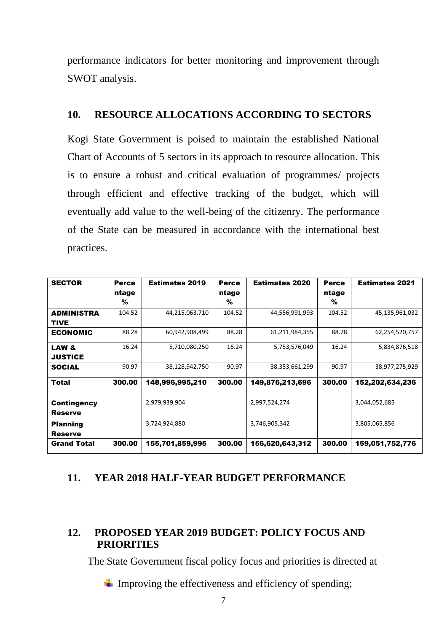performance indicators for better monitoring and improvement through SWOT analysis.

## **10. RESOURCE ALLOCATIONS ACCORDING TO SECTORS**

Kogi State Government is poised to maintain the established National Chart of Accounts of 5 sectors in its approach to resource allocation. This is to ensure a robust and critical evaluation of programmes/ projects through efficient and effective tracking of the budget, which will eventually add value to the well-being of the citizenry. The performance of the State can be measured in accordance with the international best practices.

| <b>SECTOR</b>        | <b>Perce</b> | <b>Estimates 2019</b> | <b>Perce</b> | <b>Estimates 2020</b> | <b>Perce</b> | <b>Estimates 2021</b> |
|----------------------|--------------|-----------------------|--------------|-----------------------|--------------|-----------------------|
|                      | ntage        |                       | ntage        |                       | ntage        |                       |
|                      | %            |                       | %            |                       | %            |                       |
| <b>ADMINISTRA</b>    | 104.52       | 44,215,063,710        | 104.52       | 44,556,991,993        | 104.52       | 45,135,961,032        |
| <b>TIVE</b>          |              |                       |              |                       |              |                       |
| <b>ECONOMIC</b>      | 88.28        | 60,942,908,499        | 88.28        | 61,211,984,355        | 88.28        | 62,254,520,757        |
| LAW <sub>&amp;</sub> | 16.24        | 5,710,080,250         | 16.24        | 5,753,576,049         | 16.24        | 5,834,876,518         |
| <b>JUSTICE</b>       |              |                       |              |                       |              |                       |
| <b>SOCIAL</b>        | 90.97        | 38,128,942,750        | 90.97        | 38,353,661,299        | 90.97        | 38,977,275,929        |
| Total                | 300.00       | 148,996,995,210       | 300.00       | 149,876,213,696       | 300.00       | 152,202,634,236       |
| <b>Contingency</b>   |              | 2,979,939,904         |              | 2,997,524,274         |              | 3,044,052,685         |
| <b>Reserve</b>       |              |                       |              |                       |              |                       |
| <b>Planning</b>      |              | 3,724,924,880         |              | 3,746,905,342         |              | 3,805,065,856         |
| <b>Reserve</b>       |              |                       |              |                       |              |                       |
| <b>Grand Total</b>   | 300.00       | 155,701,859,995       | 300.00       | 156,620,643,312       | 300.00       | 159,051,752,776       |

# **11. YEAR 2018 HALF-YEAR BUDGET PERFORMANCE**

## **12. PROPOSED YEAR 2019 BUDGET: POLICY FOCUS AND PRIORITIES**

The State Government fiscal policy focus and priorities is directed at

 $\overline{\phantom{a}}$  Improving the effectiveness and efficiency of spending;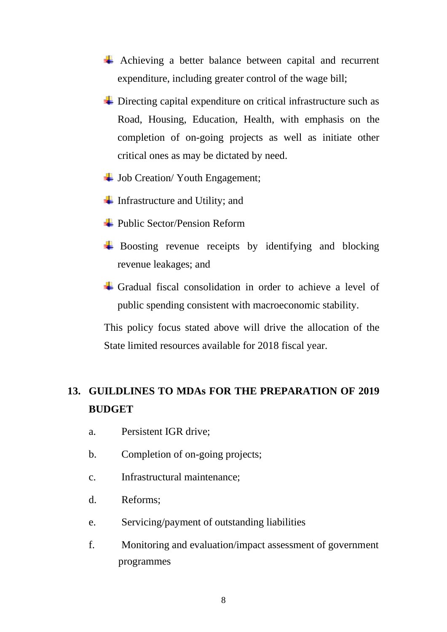- Achieving a better balance between capital and recurrent expenditure, including greater control of the wage bill;
- $\div$  Directing capital expenditure on critical infrastructure such as Road, Housing, Education, Health, with emphasis on the completion of on-going projects as well as initiate other critical ones as may be dictated by need.
- $\downarrow$  Job Creation/ Youth Engagement;
- Infrastructure and Utility; and
- $\div$  **Public Sector/Pension Reform**
- $\overline{\phantom{a}}$  Boosting revenue receipts by identifying and blocking revenue leakages; and
- Gradual fiscal consolidation in order to achieve a level of public spending consistent with macroeconomic stability.

This policy focus stated above will drive the allocation of the State limited resources available for 2018 fiscal year.

# **13. GUILDLINES TO MDAs FOR THE PREPARATION OF 2019 BUDGET**

- a. Persistent IGR drive;
- b. Completion of on-going projects;
- c. Infrastructural maintenance;
- d. Reforms;
- e. Servicing/payment of outstanding liabilities
- f. Monitoring and evaluation/impact assessment of government programmes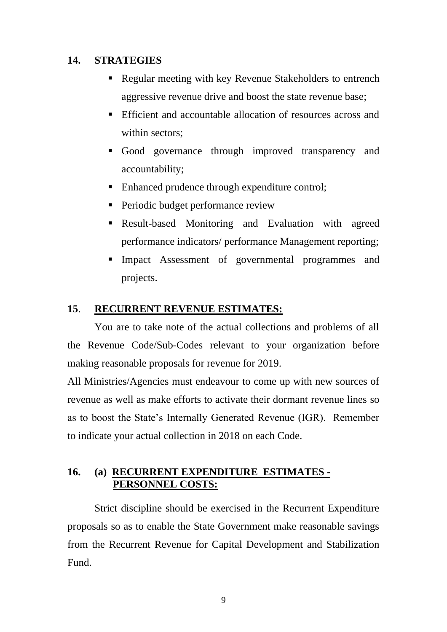## **14. STRATEGIES**

- Regular meeting with key Revenue Stakeholders to entrench aggressive revenue drive and boost the state revenue base;
- Efficient and accountable allocation of resources across and within sectors;
- Good governance through improved transparency and accountability;
- Enhanced prudence through expenditure control;
- **•** Periodic budget performance review
- **EXECULE-based Monitoring and Evaluation with agreed** performance indicators/ performance Management reporting;
- **Impact Assessment of governmental programmes and** projects.

## **15**. **RECURRENT REVENUE ESTIMATES:**

You are to take note of the actual collections and problems of all the Revenue Code/Sub-Codes relevant to your organization before making reasonable proposals for revenue for 2019.

All Ministries/Agencies must endeavour to come up with new sources of revenue as well as make efforts to activate their dormant revenue lines so as to boost the State's Internally Generated Revenue (IGR). Remember to indicate your actual collection in 2018 on each Code.

## **16. (a) RECURRENT EXPENDITURE ESTIMATES - PERSONNEL COSTS:**

Strict discipline should be exercised in the Recurrent Expenditure proposals so as to enable the State Government make reasonable savings from the Recurrent Revenue for Capital Development and Stabilization Fund.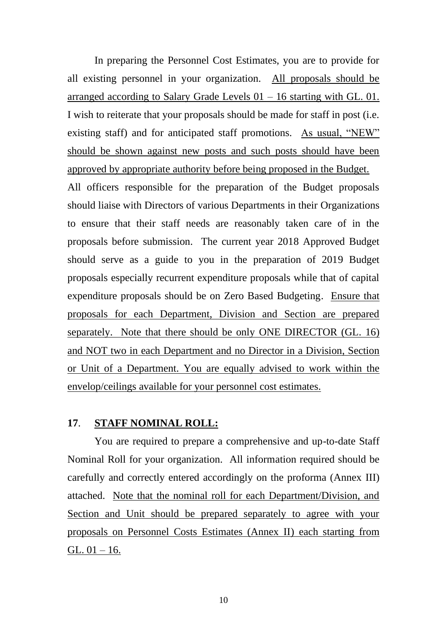In preparing the Personnel Cost Estimates, you are to provide for all existing personnel in your organization. All proposals should be arranged according to Salary Grade Levels  $01 - 16$  starting with GL. 01. I wish to reiterate that your proposals should be made for staff in post (i.e. existing staff) and for anticipated staff promotions. As usual, "NEW" should be shown against new posts and such posts should have been approved by appropriate authority before being proposed in the Budget.

All officers responsible for the preparation of the Budget proposals should liaise with Directors of various Departments in their Organizations to ensure that their staff needs are reasonably taken care of in the proposals before submission. The current year 2018 Approved Budget should serve as a guide to you in the preparation of 2019 Budget proposals especially recurrent expenditure proposals while that of capital expenditure proposals should be on Zero Based Budgeting. Ensure that proposals for each Department, Division and Section are prepared separately. Note that there should be only ONE DIRECTOR (GL. 16) and NOT two in each Department and no Director in a Division, Section or Unit of a Department. You are equally advised to work within the envelop/ceilings available for your personnel cost estimates.

## **17**. **STAFF NOMINAL ROLL:**

You are required to prepare a comprehensive and up-to-date Staff Nominal Roll for your organization. All information required should be carefully and correctly entered accordingly on the proforma (Annex III) attached. Note that the nominal roll for each Department/Division, and Section and Unit should be prepared separately to agree with your proposals on Personnel Costs Estimates (Annex II) each starting from GL.  $01 - 16$ .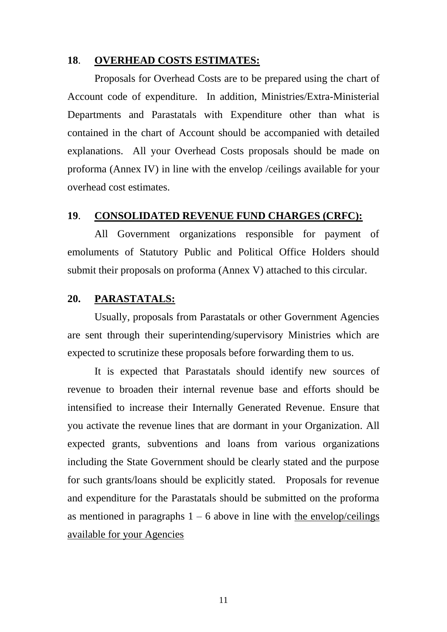#### **18**. **OVERHEAD COSTS ESTIMATES:**

Proposals for Overhead Costs are to be prepared using the chart of Account code of expenditure. In addition, Ministries/Extra-Ministerial Departments and Parastatals with Expenditure other than what is contained in the chart of Account should be accompanied with detailed explanations. All your Overhead Costs proposals should be made on proforma (Annex IV) in line with the envelop /ceilings available for your overhead cost estimates.

## **19**. **CONSOLIDATED REVENUE FUND CHARGES (CRFC):**

All Government organizations responsible for payment of emoluments of Statutory Public and Political Office Holders should submit their proposals on proforma (Annex V) attached to this circular.

## **20. PARASTATALS:**

Usually, proposals from Parastatals or other Government Agencies are sent through their superintending/supervisory Ministries which are expected to scrutinize these proposals before forwarding them to us.

It is expected that Parastatals should identify new sources of revenue to broaden their internal revenue base and efforts should be intensified to increase their Internally Generated Revenue. Ensure that you activate the revenue lines that are dormant in your Organization. All expected grants, subventions and loans from various organizations including the State Government should be clearly stated and the purpose for such grants/loans should be explicitly stated. Proposals for revenue and expenditure for the Parastatals should be submitted on the proforma as mentioned in paragraphs  $1 - 6$  above in line with the envelop/ceilings available for your Agencies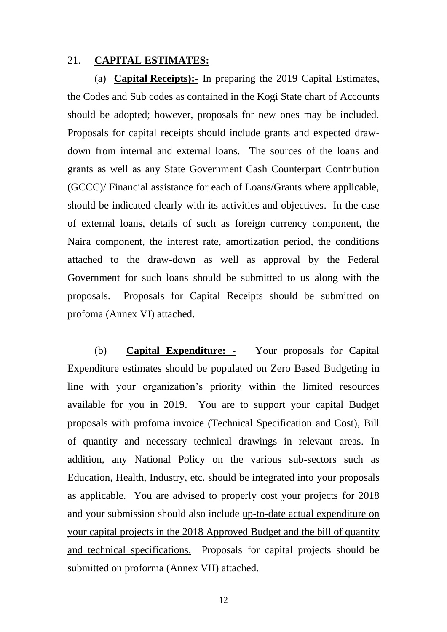#### 21. **CAPITAL ESTIMATES:**

(a) **Capital Receipts):-** In preparing the 2019 Capital Estimates, the Codes and Sub codes as contained in the Kogi State chart of Accounts should be adopted; however, proposals for new ones may be included. Proposals for capital receipts should include grants and expected drawdown from internal and external loans. The sources of the loans and grants as well as any State Government Cash Counterpart Contribution (GCCC)/ Financial assistance for each of Loans/Grants where applicable, should be indicated clearly with its activities and objectives. In the case of external loans, details of such as foreign currency component, the Naira component, the interest rate, amortization period, the conditions attached to the draw-down as well as approval by the Federal Government for such loans should be submitted to us along with the proposals. Proposals for Capital Receipts should be submitted on profoma (Annex VI) attached.

(b) **Capital Expenditure: -** Your proposals for Capital Expenditure estimates should be populated on Zero Based Budgeting in line with your organization's priority within the limited resources available for you in 2019. You are to support your capital Budget proposals with profoma invoice (Technical Specification and Cost), Bill of quantity and necessary technical drawings in relevant areas. In addition, any National Policy on the various sub-sectors such as Education, Health, Industry, etc. should be integrated into your proposals as applicable. You are advised to properly cost your projects for 2018 and your submission should also include up-to-date actual expenditure on your capital projects in the 2018 Approved Budget and the bill of quantity and technical specifications. Proposals for capital projects should be submitted on proforma (Annex VII) attached.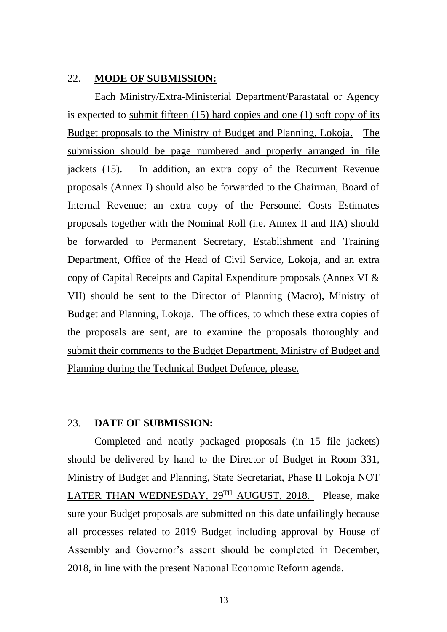## 22. **MODE OF SUBMISSION:**

Each Ministry/Extra-Ministerial Department/Parastatal or Agency is expected to submit fifteen (15) hard copies and one (1) soft copy of its Budget proposals to the Ministry of Budget and Planning, Lokoja. The submission should be page numbered and properly arranged in file jackets (15). In addition, an extra copy of the Recurrent Revenue proposals (Annex I) should also be forwarded to the Chairman, Board of Internal Revenue; an extra copy of the Personnel Costs Estimates proposals together with the Nominal Roll (i.e. Annex II and IIA) should be forwarded to Permanent Secretary, Establishment and Training Department, Office of the Head of Civil Service, Lokoja, and an extra copy of Capital Receipts and Capital Expenditure proposals (Annex VI & VII) should be sent to the Director of Planning (Macro), Ministry of Budget and Planning, Lokoja. The offices, to which these extra copies of the proposals are sent, are to examine the proposals thoroughly and submit their comments to the Budget Department, Ministry of Budget and Planning during the Technical Budget Defence, please.

#### 23. **DATE OF SUBMISSION:**

Completed and neatly packaged proposals (in 15 file jackets) should be delivered by hand to the Director of Budget in Room 331, Ministry of Budget and Planning, State Secretariat, Phase II Lokoja NOT LATER THAN WEDNESDAY, 29TH AUGUST, 2018. Please, make sure your Budget proposals are submitted on this date unfailingly because all processes related to 2019 Budget including approval by House of Assembly and Governor's assent should be completed in December, 2018, in line with the present National Economic Reform agenda.

13